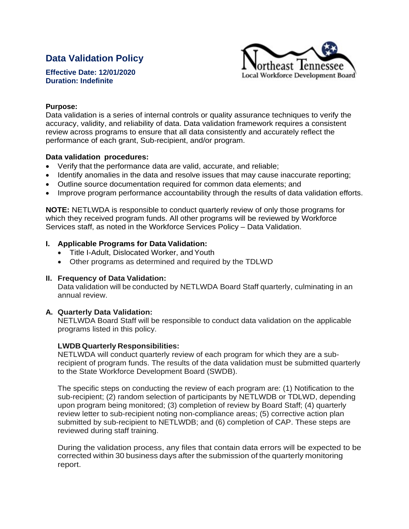# **Data Validation Policy**

**Effective Date: 12/01/2020 Duration: Indefinite**



### **Purpose:**

Data validation is a series of internal controls or quality assurance techniques to verify the accuracy, validity, and reliability of data. Data validation framework requires a consistent review across programs to ensure that all data consistently and accurately reflect the performance of each grant, Sub-recipient, and/or program.

## **Data validation procedures:**

- Verify that the performance data are valid, accurate, and reliable;
- Identify anomalies in the data and resolve issues that may cause inaccurate reporting;
- Outline source documentation required for common data elements; and
- Improve program performance accountability through the results of data validation efforts.

**NOTE:** NETLWDA is responsible to conduct quarterly review of only those programs for which they received program funds. All other programs will be reviewed by Workforce Services staff, as noted in the Workforce Services Policy – Data Validation.

## **I. Applicable Programs for Data Validation:**

- Title I-Adult, Dislocated Worker, and Youth
- Other programs as determined and required by the TDLWD

#### **II. Frequency of Data Validation:**

Data validation will be conducted by NETLWDA Board Staff quarterly, culminating in an annual review.

# **A. Quarterly Data Validation:**

NETLWDA Board Staff will be responsible to conduct data validation on the applicable programs listed in this policy.

# **LWDBQuarterly Responsibilities:**

NETLWDA will conduct quarterly review of each program for which they are a subrecipient of program funds. The results of the data validation must be submitted quarterly to the State Workforce Development Board (SWDB).

The specific steps on conducting the review of each program are: (1) Notification to the sub-recipient; (2) random selection of participants by NETLWDB or TDLWD, depending upon program being monitored; (3) completion of review by Board Staff; (4) quarterly review letter to sub-recipient noting non-compliance areas; (5) corrective action plan submitted by sub-recipient to NETLWDB; and (6) completion of CAP. These steps are reviewed during staff training.

During the validation process, any files that contain data errors will be expected to be corrected within 30 business days after the submission of the quarterly monitoring report.